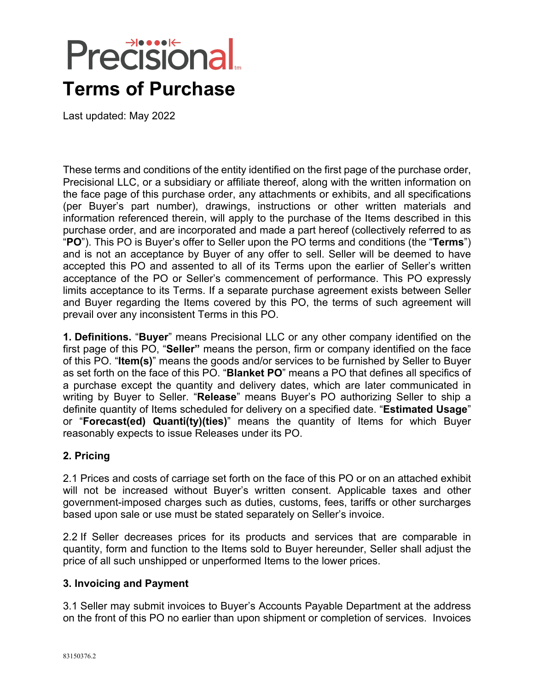# **Precisional Terms of Purchase**

Last updated: May 2022

These terms and conditions of the entity identified on the first page of the purchase order, Precisional LLC, or a subsidiary or affiliate thereof, along with the written information on the face page of this purchase order, any attachments or exhibits, and all specifications (per Buyer's part number), drawings, instructions or other written materials and information referenced therein, will apply to the purchase of the Items described in this purchase order, and are incorporated and made a part hereof (collectively referred to as "**PO**"). This PO is Buyer's offer to Seller upon the PO terms and conditions (the "**Terms**") and is not an acceptance by Buyer of any offer to sell. Seller will be deemed to have accepted this PO and assented to all of its Terms upon the earlier of Seller's written acceptance of the PO or Seller's commencement of performance. This PO expressly limits acceptance to its Terms. If a separate purchase agreement exists between Seller and Buyer regarding the Items covered by this PO, the terms of such agreement will prevail over any inconsistent Terms in this PO.

**1. Definitions.** "**Buyer**" means Precisional LLC or any other company identified on the first page of this PO, "**Seller"** means the person, firm or company identified on the face of this PO. "**Item(s)**" means the goods and/or services to be furnished by Seller to Buyer as set forth on the face of this PO. "**Blanket PO**" means a PO that defines all specifics of a purchase except the quantity and delivery dates, which are later communicated in writing by Buyer to Seller. "**Release**" means Buyer's PO authorizing Seller to ship a definite quantity of Items scheduled for delivery on a specified date. "**Estimated Usage**" or "**Forecast(ed) Quanti(ty)(ties)**" means the quantity of Items for which Buyer reasonably expects to issue Releases under its PO.

### **2. Pricing**

2.1 Prices and costs of carriage set forth on the face of this PO or on an attached exhibit will not be increased without Buyer's written consent. Applicable taxes and other government-imposed charges such as duties, customs, fees, tariffs or other surcharges based upon sale or use must be stated separately on Seller's invoice.

2.2 If Seller decreases prices for its products and services that are comparable in quantity, form and function to the Items sold to Buyer hereunder, Seller shall adjust the price of all such unshipped or unperformed Items to the lower prices.

#### **3. Invoicing and Payment**

3.1 Seller may submit invoices to Buyer's Accounts Payable Department at the address on the front of this PO no earlier than upon shipment or completion of services. Invoices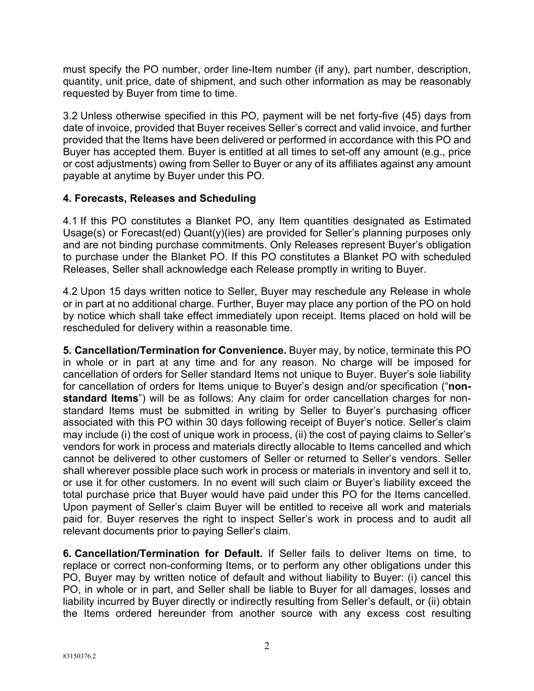must specify the PO number, order line-Item number (if any), part number, description, quantity, unit price, date of shipment, and such other information as may be reasonably requested by Buyer from time to time.

3.2 Unless otherwise specified in this PO, payment will be net forty-five (45) days from date of invoice, provided that Buyer receives Seller's correct and valid invoice, and further provided that the Items have been delivered or performed in accordance with this PO and Buyer has accepted them. Buyer is entitled at all times to set-off any amount (e.g., price or cost adjustments) owing from Seller to Buyer or any of its affiliates against any amount payable at anytime by Buyer under this PO.

### **4. Forecasts, Releases and Scheduling**

4.1 If this PO constitutes a Blanket PO, any Item quantities designated as Estimated Usage(s) or Forecast(ed) Quant(y)(ies) are provided for Seller's planning purposes only and are not binding purchase commitments. Only Releases represent Buyer's obligation to purchase under the Blanket PO. If this PO constitutes a Blanket PO with scheduled Releases, Seller shall acknowledge each Release promptly in writing to Buyer.

4.2 Upon 15 days written notice to Seller, Buyer may reschedule any Release in whole or in part at no additional charge. Further, Buyer may place any portion of the PO on hold by notice which shall take effect immediately upon receipt. Items placed on hold will be rescheduled for delivery within a reasonable time.

**5. Cancellation/Termination for Convenience.** Buyer may, by notice, terminate this PO in whole or in part at any time and for any reason. No charge will be imposed for cancellation of orders for Seller standard Items not unique to Buyer. Buyer's sole liability for cancellation of orders for Items unique to Buyer's design and/or specification ("**nonstandard Items**") will be as follows: Any claim for order cancellation charges for nonstandard Items must be submitted in writing by Seller to Buyer's purchasing officer associated with this PO within 30 days following receipt of Buyer's notice. Seller's claim may include (i) the cost of unique work in process, (ii) the cost of paying claims to Seller's vendors for work in process and materials directly allocable to Items cancelled and which cannot be delivered to other customers of Seller or returned to Seller's vendors. Seller shall wherever possible place such work in process or materials in inventory and sell it to, or use it for other customers. In no event will such claim or Buyer's liability exceed the total purchase price that Buyer would have paid under this PO for the Items cancelled. Upon payment of Seller's claim Buyer will be entitled to receive all work and materials paid for. Buyer reserves the right to inspect Seller's work in process and to audit all relevant documents prior to paying Seller's claim.

**6. Cancellation/Termination for Default.** If Seller fails to deliver Items on time, to replace or correct non-conforming Items, or to perform any other obligations under this PO, Buyer may by written notice of default and without liability to Buyer: (i) cancel this PO, in whole or in part, and Seller shall be liable to Buyer for all damages, losses and liability incurred by Buyer directly or indirectly resulting from Seller's default, or (ii) obtain the Items ordered hereunder from another source with any excess cost resulting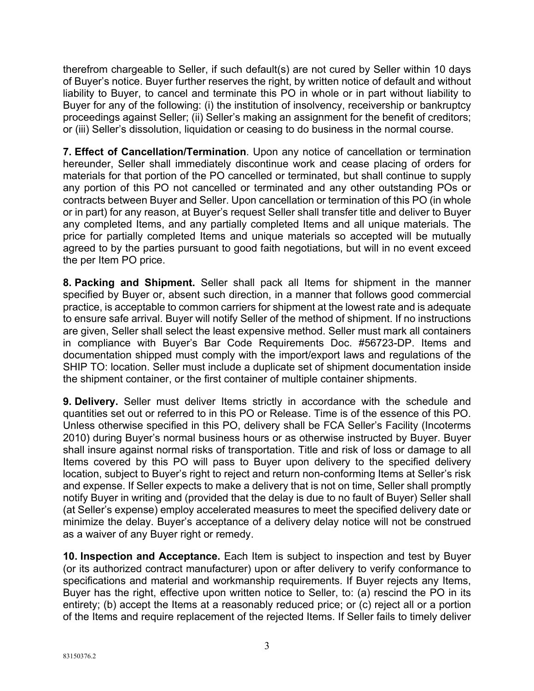therefrom chargeable to Seller, if such default(s) are not cured by Seller within 10 days of Buyer's notice. Buyer further reserves the right, by written notice of default and without liability to Buyer, to cancel and terminate this PO in whole or in part without liability to Buyer for any of the following: (i) the institution of insolvency, receivership or bankruptcy proceedings against Seller; (ii) Seller's making an assignment for the benefit of creditors; or (iii) Seller's dissolution, liquidation or ceasing to do business in the normal course.

**7. Effect of Cancellation/Termination**. Upon any notice of cancellation or termination hereunder, Seller shall immediately discontinue work and cease placing of orders for materials for that portion of the PO cancelled or terminated, but shall continue to supply any portion of this PO not cancelled or terminated and any other outstanding POs or contracts between Buyer and Seller. Upon cancellation or termination of this PO (in whole or in part) for any reason, at Buyer's request Seller shall transfer title and deliver to Buyer any completed Items, and any partially completed Items and all unique materials. The price for partially completed Items and unique materials so accepted will be mutually agreed to by the parties pursuant to good faith negotiations, but will in no event exceed the per Item PO price.

**8. Packing and Shipment.** Seller shall pack all Items for shipment in the manner specified by Buyer or, absent such direction, in a manner that follows good commercial practice, is acceptable to common carriers for shipment at the lowest rate and is adequate to ensure safe arrival. Buyer will notify Seller of the method of shipment. If no instructions are given, Seller shall select the least expensive method. Seller must mark all containers in compliance with Buyer's Bar Code Requirements Doc. #56723-DP. Items and documentation shipped must comply with the import/export laws and regulations of the SHIP TO: location. Seller must include a duplicate set of shipment documentation inside the shipment container, or the first container of multiple container shipments.

**9. Delivery.** Seller must deliver Items strictly in accordance with the schedule and quantities set out or referred to in this PO or Release. Time is of the essence of this PO. Unless otherwise specified in this PO, delivery shall be FCA Seller's Facility (Incoterms 2010) during Buyer's normal business hours or as otherwise instructed by Buyer. Buyer shall insure against normal risks of transportation. Title and risk of loss or damage to all Items covered by this PO will pass to Buyer upon delivery to the specified delivery location, subject to Buyer's right to reject and return non-conforming Items at Seller's risk and expense. If Seller expects to make a delivery that is not on time, Seller shall promptly notify Buyer in writing and (provided that the delay is due to no fault of Buyer) Seller shall (at Seller's expense) employ accelerated measures to meet the specified delivery date or minimize the delay. Buyer's acceptance of a delivery delay notice will not be construed as a waiver of any Buyer right or remedy.

**10. Inspection and Acceptance.** Each Item is subject to inspection and test by Buyer (or its authorized contract manufacturer) upon or after delivery to verify conformance to specifications and material and workmanship requirements. If Buyer rejects any Items, Buyer has the right, effective upon written notice to Seller, to: (a) rescind the PO in its entirety; (b) accept the Items at a reasonably reduced price; or (c) reject all or a portion of the Items and require replacement of the rejected Items. If Seller fails to timely deliver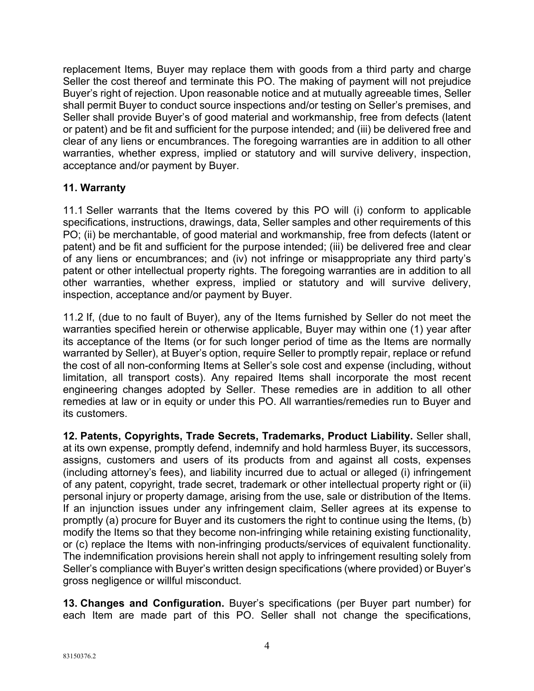replacement Items, Buyer may replace them with goods from a third party and charge Seller the cost thereof and terminate this PO. The making of payment will not prejudice Buyer's right of rejection. Upon reasonable notice and at mutually agreeable times, Seller shall permit Buyer to conduct source inspections and/or testing on Seller's premises, and Seller shall provide Buyer's of good material and workmanship, free from defects (latent or patent) and be fit and sufficient for the purpose intended; and (iii) be delivered free and clear of any liens or encumbrances. The foregoing warranties are in addition to all other warranties, whether express, implied or statutory and will survive delivery, inspection, acceptance and/or payment by Buyer.

### **11. Warranty**

11.1 Seller warrants that the Items covered by this PO will (i) conform to applicable specifications, instructions, drawings, data, Seller samples and other requirements of this PO; (ii) be merchantable, of good material and workmanship, free from defects (latent or patent) and be fit and sufficient for the purpose intended; (iii) be delivered free and clear of any liens or encumbrances; and (iv) not infringe or misappropriate any third party's patent or other intellectual property rights. The foregoing warranties are in addition to all other warranties, whether express, implied or statutory and will survive delivery, inspection, acceptance and/or payment by Buyer.

11.2 If, (due to no fault of Buyer), any of the Items furnished by Seller do not meet the warranties specified herein or otherwise applicable, Buyer may within one (1) year after its acceptance of the Items (or for such longer period of time as the Items are normally warranted by Seller), at Buyer's option, require Seller to promptly repair, replace or refund the cost of all non-conforming Items at Seller's sole cost and expense (including, without limitation, all transport costs). Any repaired Items shall incorporate the most recent engineering changes adopted by Seller. These remedies are in addition to all other remedies at law or in equity or under this PO. All warranties/remedies run to Buyer and its customers.

**12. Patents, Copyrights, Trade Secrets, Trademarks, Product Liability.** Seller shall, at its own expense, promptly defend, indemnify and hold harmless Buyer, its successors, assigns, customers and users of its products from and against all costs, expenses (including attorney's fees), and liability incurred due to actual or alleged (i) infringement of any patent, copyright, trade secret, trademark or other intellectual property right or (ii) personal injury or property damage, arising from the use, sale or distribution of the Items. If an injunction issues under any infringement claim, Seller agrees at its expense to promptly (a) procure for Buyer and its customers the right to continue using the Items, (b) modify the Items so that they become non-infringing while retaining existing functionality, or (c) replace the Items with non-infringing products/services of equivalent functionality. The indemnification provisions herein shall not apply to infringement resulting solely from Seller's compliance with Buyer's written design specifications (where provided) or Buyer's gross negligence or willful misconduct.

**13. Changes and Configuration.** Buyer's specifications (per Buyer part number) for each Item are made part of this PO. Seller shall not change the specifications,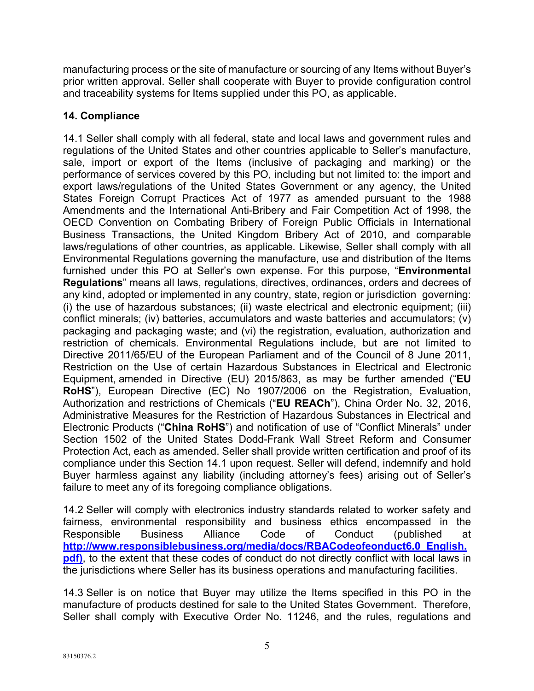manufacturing process or the site of manufacture or sourcing of any Items without Buyer's prior written approval. Seller shall cooperate with Buyer to provide configuration control and traceability systems for Items supplied under this PO, as applicable.

## **14. Compliance**

14.1 Seller shall comply with all federal, state and local laws and government rules and regulations of the United States and other countries applicable to Seller's manufacture, sale, import or export of the Items (inclusive of packaging and marking) or the performance of services covered by this PO, including but not limited to: the import and export laws/regulations of the United States Government or any agency, the United States Foreign Corrupt Practices Act of 1977 as amended pursuant to the 1988 Amendments and the International Anti-Bribery and Fair Competition Act of 1998, the OECD Convention on Combating Bribery of Foreign Public Officials in International Business Transactions, the United Kingdom Bribery Act of 2010, and comparable laws/regulations of other countries, as applicable. Likewise, Seller shall comply with all Environmental Regulations governing the manufacture, use and distribution of the Items furnished under this PO at Seller's own expense. For this purpose, "**Environmental Regulations**" means all laws, regulations, directives, ordinances, orders and decrees of any kind, adopted or implemented in any country, state, region or jurisdiction governing: (i) the use of hazardous substances; (ii) waste electrical and electronic equipment; (iii) conflict minerals; (iv) batteries, accumulators and waste batteries and accumulators; (v) packaging and packaging waste; and (vi) the registration, evaluation, authorization and restriction of chemicals. Environmental Regulations include, but are not limited to Directive 2011/65/EU of the European Parliament and of the Council of 8 June 2011, Restriction on the Use of certain Hazardous Substances in Electrical and Electronic Equipment, amended in Directive (EU) 2015/863, as may be further amended ("**EU RoHS**"), European Directive (EC) No 1907/2006 on the Registration, Evaluation, Authorization and restrictions of Chemicals ("**EU REACh**"), China Order No. 32, 2016, Administrative Measures for the Restriction of Hazardous Substances in Electrical and Electronic Products ("**China RoHS**") and notification of use of "Conflict Minerals" under Section 1502 of the United States Dodd-Frank Wall Street Reform and Consumer Protection Act, each as amended. Seller shall provide written certification and proof of its compliance under this Section 14.1 upon request. Seller will defend, indemnify and hold Buyer harmless against any liability (including attorney's fees) arising out of Seller's failure to meet any of its foregoing compliance obligations.

14.2 Seller will comply with electronics industry standards related to worker safety and fairness, environmental responsibility and business ethics encompassed in the Responsible Business Alliance Code of Conduct (published at **http://www.responsiblebusiness.org/media/docs/RBACodeofeonduct6.0\_English. pdf)**, to the extent that these codes of conduct do not directly conflict with local laws in the jurisdictions where Seller has its business operations and manufacturing facilities.

14.3 Seller is on notice that Buyer may utilize the Items specified in this PO in the manufacture of products destined for sale to the United States Government. Therefore, Seller shall comply with Executive Order No. 11246, and the rules, regulations and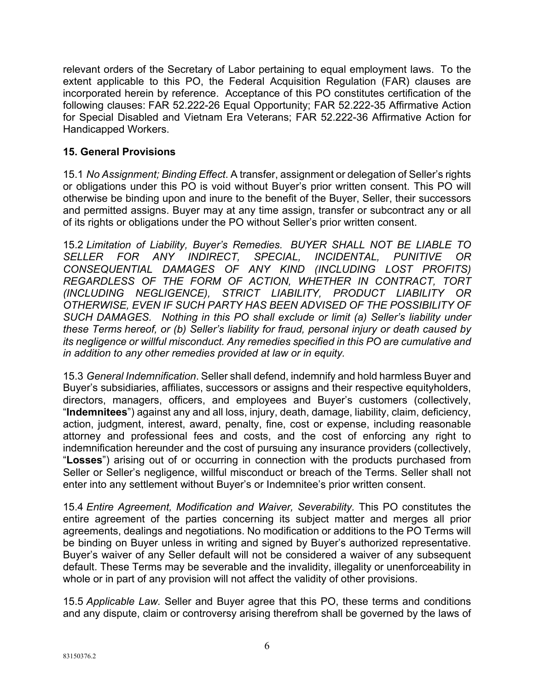relevant orders of the Secretary of Labor pertaining to equal employment laws. To the extent applicable to this PO, the Federal Acquisition Regulation (FAR) clauses are incorporated herein by reference. Acceptance of this PO constitutes certification of the following clauses: FAR 52.222-26 Equal Opportunity; FAR 52.222-35 Affirmative Action for Special Disabled and Vietnam Era Veterans; FAR 52.222-36 Affirmative Action for Handicapped Workers.

#### **15. General Provisions**

15.1 *No Assignment; Binding Effect*. A transfer, assignment or delegation of Seller's rights or obligations under this PO is void without Buyer's prior written consent. This PO will otherwise be binding upon and inure to the benefit of the Buyer, Seller, their successors and permitted assigns. Buyer may at any time assign, transfer or subcontract any or all of its rights or obligations under the PO without Seller's prior written consent.

15.2 *Limitation of Liability, Buyer's Remedies. BUYER SHALL NOT BE LIABLE TO SELLER FOR ANY INDIRECT, SPECIAL, INCIDENTAL, PUNITIVE OR CONSEQUENTIAL DAMAGES OF ANY KIND (INCLUDING LOST PROFITS) REGARDLESS OF THE FORM OF ACTION, WHETHER IN CONTRACT, TORT (INCLUDING NEGLIGENCE), STRICT LIABILITY, PRODUCT LIABILITY OR OTHERWISE, EVEN IF SUCH PARTY HAS BEEN ADVISED OF THE POSSIBILITY OF SUCH DAMAGES. Nothing in this PO shall exclude or limit (a) Seller's liability under these Terms hereof, or (b) Seller's liability for fraud, personal injury or death caused by its negligence or willful misconduct. Any remedies specified in this PO are cumulative and in addition to any other remedies provided at law or in equity.*

15.3 *General Indemnification*. Seller shall defend, indemnify and hold harmless Buyer and Buyer's subsidiaries, affiliates, successors or assigns and their respective equityholders, directors, managers, officers, and employees and Buyer's customers (collectively, "**Indemnitees**") against any and all loss, injury, death, damage, liability, claim, deficiency, action, judgment, interest, award, penalty, fine, cost or expense, including reasonable attorney and professional fees and costs, and the cost of enforcing any right to indemnification hereunder and the cost of pursuing any insurance providers (collectively, "**Losses**") arising out of or occurring in connection with the products purchased from Seller or Seller's negligence, willful misconduct or breach of the Terms. Seller shall not enter into any settlement without Buyer's or Indemnitee's prior written consent.

15.4 *Entire Agreement, Modification and Waiver, Severability.* This PO constitutes the entire agreement of the parties concerning its subject matter and merges all prior agreements, dealings and negotiations. No modification or additions to the PO Terms will be binding on Buyer unless in writing and signed by Buyer's authorized representative. Buyer's waiver of any Seller default will not be considered a waiver of any subsequent default. These Terms may be severable and the invalidity, illegality or unenforceability in whole or in part of any provision will not affect the validity of other provisions.

15.5 *Applicable Law.* Seller and Buyer agree that this PO, these terms and conditions and any dispute, claim or controversy arising therefrom shall be governed by the laws of